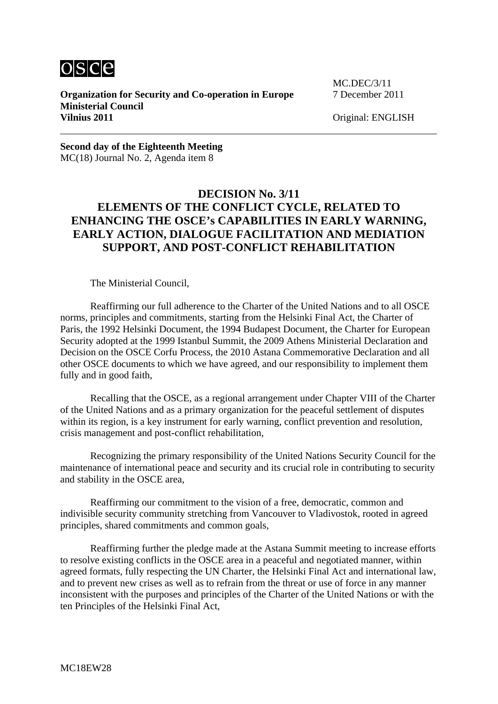

**Organization for Security and Co-operation in Europe** 7 December 2011 **Ministerial Council Vilnius 2011** Original: ENGLISH

MC.DEC/3/11

**Second day of the Eighteenth Meeting**  MC(18) Journal No. 2, Agenda item 8

## **DECISION No. 3/11 ELEMENTS OF THE CONFLICT CYCLE, RELATED TO ENHANCING THE OSCE's CAPABILITIES IN EARLY WARNING, EARLY ACTION, DIALOGUE FACILITATION AND MEDIATION SUPPORT, AND POST-CONFLICT REHABILITATION**

The Ministerial Council,

 Reaffirming our full adherence to the Charter of the United Nations and to all OSCE norms, principles and commitments, starting from the Helsinki Final Act, the Charter of Paris, the 1992 Helsinki Document, the 1994 Budapest Document, the Charter for European Security adopted at the 1999 Istanbul Summit, the 2009 Athens Ministerial Declaration and Decision on the OSCE Corfu Process, the 2010 Astana Commemorative Declaration and all other OSCE documents to which we have agreed, and our responsibility to implement them fully and in good faith,

 Recalling that the OSCE, as a regional arrangement under Chapter VIII of the Charter of the United Nations and as a primary organization for the peaceful settlement of disputes within its region, is a key instrument for early warning, conflict prevention and resolution, crisis management and post-conflict rehabilitation,

 Recognizing the primary responsibility of the United Nations Security Council for the maintenance of international peace and security and its crucial role in contributing to security and stability in the OSCE area,

 Reaffirming our commitment to the vision of a free, democratic, common and indivisible security community stretching from Vancouver to Vladivostok, rooted in agreed principles, shared commitments and common goals,

 Reaffirming further the pledge made at the Astana Summit meeting to increase efforts to resolve existing conflicts in the OSCE area in a peaceful and negotiated manner, within agreed formats, fully respecting the UN Charter, the Helsinki Final Act and international law, and to prevent new crises as well as to refrain from the threat or use of force in any manner inconsistent with the purposes and principles of the Charter of the United Nations or with the ten Principles of the Helsinki Final Act,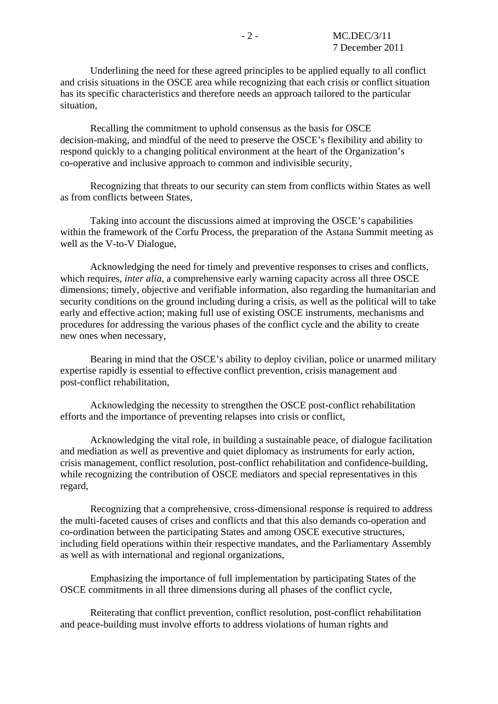Underlining the need for these agreed principles to be applied equally to all conflict and crisis situations in the OSCE area while recognizing that each crisis or conflict situation has its specific characteristics and therefore needs an approach tailored to the particular situation,

 Recalling the commitment to uphold consensus as the basis for OSCE decision-making, and mindful of the need to preserve the OSCE's flexibility and ability to respond quickly to a changing political environment at the heart of the Organization's co-operative and inclusive approach to common and indivisible security,

 Recognizing that threats to our security can stem from conflicts within States as well as from conflicts between States,

 Taking into account the discussions aimed at improving the OSCE's capabilities within the framework of the Corfu Process, the preparation of the Astana Summit meeting as well as the V-to-V Dialogue,

 Acknowledging the need for timely and preventive responses to crises and conflicts, which requires, *inter alia*, a comprehensive early warning capacity across all three OSCE dimensions; timely, objective and verifiable information, also regarding the humanitarian and security conditions on the ground including during a crisis, as well as the political will to take early and effective action; making full use of existing OSCE instruments, mechanisms and procedures for addressing the various phases of the conflict cycle and the ability to create new ones when necessary,

 Bearing in mind that the OSCE's ability to deploy civilian, police or unarmed military expertise rapidly is essential to effective conflict prevention, crisis management and post-conflict rehabilitation,

 Acknowledging the necessity to strengthen the OSCE post-conflict rehabilitation efforts and the importance of preventing relapses into crisis or conflict,

 Acknowledging the vital role, in building a sustainable peace, of dialogue facilitation and mediation as well as preventive and quiet diplomacy as instruments for early action, crisis management, conflict resolution, post-conflict rehabilitation and confidence-building, while recognizing the contribution of OSCE mediators and special representatives in this regard,

 Recognizing that a comprehensive, cross-dimensional response is required to address the multi-faceted causes of crises and conflicts and that this also demands co-operation and co-ordination between the participating States and among OSCE executive structures, including field operations within their respective mandates, and the Parliamentary Assembly as well as with international and regional organizations,

 Emphasizing the importance of full implementation by participating States of the OSCE commitments in all three dimensions during all phases of the conflict cycle,

 Reiterating that conflict prevention, conflict resolution, post-conflict rehabilitation and peace-building must involve efforts to address violations of human rights and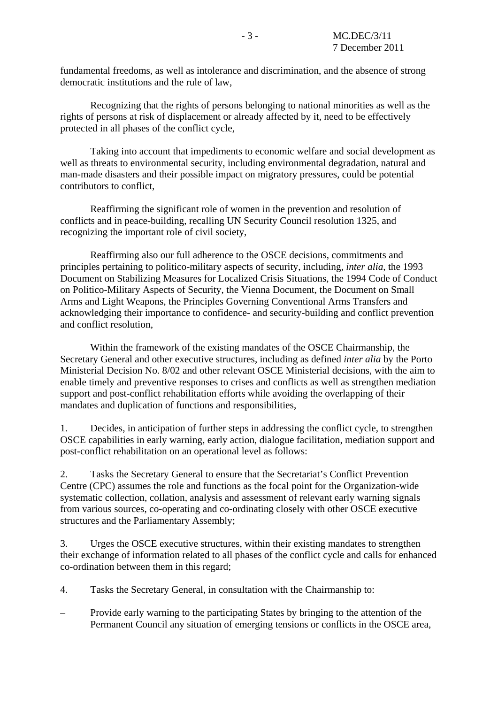fundamental freedoms, as well as intolerance and discrimination, and the absence of strong democratic institutions and the rule of law,

 Recognizing that the rights of persons belonging to national minorities as well as the rights of persons at risk of displacement or already affected by it, need to be effectively protected in all phases of the conflict cycle,

 Taking into account that impediments to economic welfare and social development as well as threats to environmental security, including environmental degradation, natural and man-made disasters and their possible impact on migratory pressures, could be potential contributors to conflict,

 Reaffirming the significant role of women in the prevention and resolution of conflicts and in peace-building, recalling UN Security Council resolution 1325, and recognizing the important role of civil society,

 Reaffirming also our full adherence to the OSCE decisions, commitments and principles pertaining to politico-military aspects of security, including, *inter alia*, the 1993 Document on Stabilizing Measures for Localized Crisis Situations, the 1994 Code of Conduct on Politico-Military Aspects of Security, the Vienna Document, the Document on Small Arms and Light Weapons, the Principles Governing Conventional Arms Transfers and acknowledging their importance to confidence- and security-building and conflict prevention and conflict resolution,

 Within the framework of the existing mandates of the OSCE Chairmanship, the Secretary General and other executive structures, including as defined *inter alia* by the Porto Ministerial Decision No. 8/02 and other relevant OSCE Ministerial decisions, with the aim to enable timely and preventive responses to crises and conflicts as well as strengthen mediation support and post-conflict rehabilitation efforts while avoiding the overlapping of their mandates and duplication of functions and responsibilities,

1. Decides, in anticipation of further steps in addressing the conflict cycle, to strengthen OSCE capabilities in early warning, early action, dialogue facilitation, mediation support and post-conflict rehabilitation on an operational level as follows:

2. Tasks the Secretary General to ensure that the Secretariat's Conflict Prevention Centre (CPC) assumes the role and functions as the focal point for the Organization-wide systematic collection, collation, analysis and assessment of relevant early warning signals from various sources, co-operating and co-ordinating closely with other OSCE executive structures and the Parliamentary Assembly;

3. Urges the OSCE executive structures, within their existing mandates to strengthen their exchange of information related to all phases of the conflict cycle and calls for enhanced co-ordination between them in this regard;

- 4. Tasks the Secretary General, in consultation with the Chairmanship to:
- Provide early warning to the participating States by bringing to the attention of the Permanent Council any situation of emerging tensions or conflicts in the OSCE area,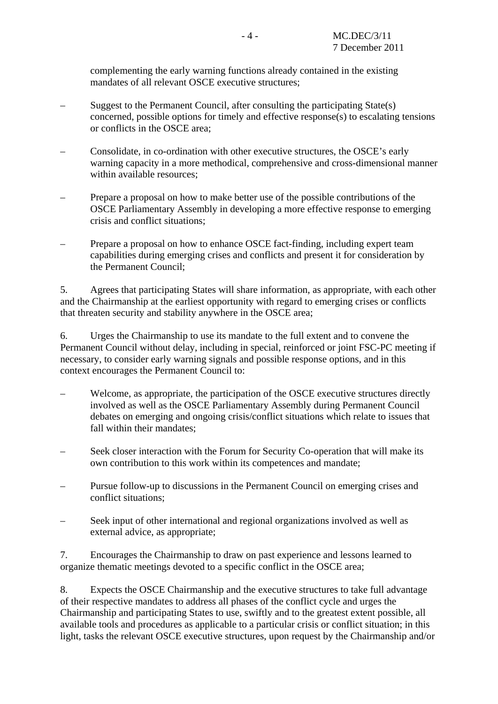complementing the early warning functions already contained in the existing mandates of all relevant OSCE executive structures;

- Suggest to the Permanent Council, after consulting the participating State(s) concerned, possible options for timely and effective response(s) to escalating tensions or conflicts in the OSCE area;
- Consolidate, in co-ordination with other executive structures, the OSCE's early warning capacity in a more methodical, comprehensive and cross-dimensional manner within available resources;
- Prepare a proposal on how to make better use of the possible contributions of the OSCE Parliamentary Assembly in developing a more effective response to emerging crisis and conflict situations;
- Prepare a proposal on how to enhance OSCE fact-finding, including expert team capabilities during emerging crises and conflicts and present it for consideration by the Permanent Council;

5. Agrees that participating States will share information, as appropriate, with each other and the Chairmanship at the earliest opportunity with regard to emerging crises or conflicts that threaten security and stability anywhere in the OSCE area;

6. Urges the Chairmanship to use its mandate to the full extent and to convene the Permanent Council without delay, including in special, reinforced or joint FSC-PC meeting if necessary, to consider early warning signals and possible response options, and in this context encourages the Permanent Council to:

- Welcome, as appropriate, the participation of the OSCE executive structures directly involved as well as the OSCE Parliamentary Assembly during Permanent Council debates on emerging and ongoing crisis/conflict situations which relate to issues that fall within their mandates;
- Seek closer interaction with the Forum for Security Co-operation that will make its own contribution to this work within its competences and mandate;
- Pursue follow-up to discussions in the Permanent Council on emerging crises and conflict situations;
- Seek input of other international and regional organizations involved as well as external advice, as appropriate;

7. Encourages the Chairmanship to draw on past experience and lessons learned to organize thematic meetings devoted to a specific conflict in the OSCE area;

8. Expects the OSCE Chairmanship and the executive structures to take full advantage of their respective mandates to address all phases of the conflict cycle and urges the Chairmanship and participating States to use, swiftly and to the greatest extent possible, all available tools and procedures as applicable to a particular crisis or conflict situation; in this light, tasks the relevant OSCE executive structures, upon request by the Chairmanship and/or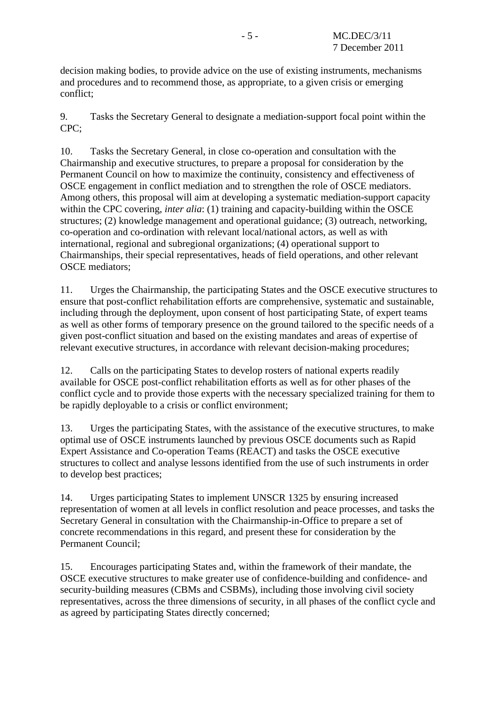decision making bodies, to provide advice on the use of existing instruments, mechanisms and procedures and to recommend those, as appropriate, to a given crisis or emerging conflict;

9. Tasks the Secretary General to designate a mediation-support focal point within the CPC;

10. Tasks the Secretary General, in close co-operation and consultation with the Chairmanship and executive structures, to prepare a proposal for consideration by the Permanent Council on how to maximize the continuity, consistency and effectiveness of OSCE engagement in conflict mediation and to strengthen the role of OSCE mediators. Among others, this proposal will aim at developing a systematic mediation-support capacity within the CPC covering, *inter alia*: (1) training and capacity-building within the OSCE structures; (2) knowledge management and operational guidance; (3) outreach, networking, co-operation and co-ordination with relevant local/national actors, as well as with international, regional and subregional organizations; (4) operational support to Chairmanships, their special representatives, heads of field operations, and other relevant OSCE mediators;

11. Urges the Chairmanship, the participating States and the OSCE executive structures to ensure that post-conflict rehabilitation efforts are comprehensive, systematic and sustainable, including through the deployment, upon consent of host participating State, of expert teams as well as other forms of temporary presence on the ground tailored to the specific needs of a given post-conflict situation and based on the existing mandates and areas of expertise of relevant executive structures, in accordance with relevant decision-making procedures;

12. Calls on the participating States to develop rosters of national experts readily available for OSCE post-conflict rehabilitation efforts as well as for other phases of the conflict cycle and to provide those experts with the necessary specialized training for them to be rapidly deployable to a crisis or conflict environment;

13. Urges the participating States, with the assistance of the executive structures, to make optimal use of OSCE instruments launched by previous OSCE documents such as Rapid Expert Assistance and Co-operation Teams (REACT) and tasks the OSCE executive structures to collect and analyse lessons identified from the use of such instruments in order to develop best practices;

14. Urges participating States to implement UNSCR 1325 by ensuring increased representation of women at all levels in conflict resolution and peace processes, and tasks the Secretary General in consultation with the Chairmanship-in-Office to prepare a set of concrete recommendations in this regard, and present these for consideration by the Permanent Council;

15. Encourages participating States and, within the framework of their mandate, the OSCE executive structures to make greater use of confidence-building and confidence- and security-building measures (CBMs and CSBMs), including those involving civil society representatives, across the three dimensions of security, in all phases of the conflict cycle and as agreed by participating States directly concerned;